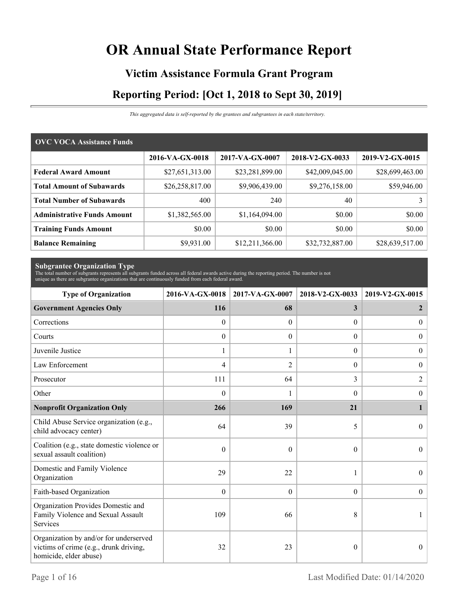# **OR Annual State Performance Report**

# **Victim Assistance Formula Grant Program Reporting Period: [Oct 1, 2018 to Sept 30, 2019]**

*This aggregated data is self-reported by the grantees and subgrantees in each state/territory.*

| <b>OVC VOCA Assistance Funds</b>   |                 |                 |                 |                 |  |  |
|------------------------------------|-----------------|-----------------|-----------------|-----------------|--|--|
|                                    | 2016-VA-GX-0018 | 2017-VA-GX-0007 | 2018-V2-GX-0033 | 2019-V2-GX-0015 |  |  |
| <b>Federal Award Amount</b>        | \$27,651,313.00 | \$23,281,899.00 | \$42,009,045.00 | \$28,699,463.00 |  |  |
| <b>Total Amount of Subawards</b>   | \$26,258,817.00 | \$9,906,439.00  | \$9,276,158.00  | \$59,946.00     |  |  |
| <b>Total Number of Subawards</b>   | 400             | 240             | 40              |                 |  |  |
| <b>Administrative Funds Amount</b> | \$1,382,565.00  | \$1,164,094.00  | \$0.00          | \$0.00          |  |  |
| <b>Training Funds Amount</b>       | \$0.00          | \$0.00          | \$0.00          | \$0.00          |  |  |
| <b>Balance Remaining</b>           | \$9,931.00      | \$12,211,366.00 | \$32,732,887.00 | \$28,639,517.00 |  |  |

**Subgrantee Organization Type** The total number of subgrants represents all subgrants funded across all federal awards active during the reporting period. The number is not unique as there are subgrantee organizations that are continuously funded from each federal award.

| <b>Type of Organization</b>                                                                                | 2016-VA-GX-0018  | 2017-VA-GX-0007  | 2018-V2-GX-0033  | 2019-V2-GX-0015  |
|------------------------------------------------------------------------------------------------------------|------------------|------------------|------------------|------------------|
| <b>Government Agencies Only</b>                                                                            | 116              | 68               | 3                | 2                |
| Corrections                                                                                                | $\theta$         | $\theta$         | $\Omega$         | $\overline{0}$   |
| Courts                                                                                                     | $\boldsymbol{0}$ | $\theta$         | $\overline{0}$   | $\overline{0}$   |
| Juvenile Justice                                                                                           | $\mathbf{1}$     | 1                | $\boldsymbol{0}$ | $\overline{0}$   |
| Law Enforcement                                                                                            | 4                | $\overline{2}$   | $\theta$         | $\boldsymbol{0}$ |
| Prosecutor                                                                                                 | 111              | 64               | 3                | $\overline{2}$   |
| Other                                                                                                      | $\theta$         |                  | $\Omega$         | $\boldsymbol{0}$ |
| <b>Nonprofit Organization Only</b>                                                                         | 266              | 169              | 21               |                  |
| Child Abuse Service organization (e.g.,<br>child advocacy center)                                          | 64               | 39               | 5                | $\Omega$         |
| Coalition (e.g., state domestic violence or<br>sexual assault coalition)                                   | $\theta$         | $\theta$         | $\theta$         | $\mathbf{0}$     |
| Domestic and Family Violence<br>Organization                                                               | 29               | 22               | 1                | $\overline{0}$   |
| Faith-based Organization                                                                                   | $\mathbf{0}$     | $\boldsymbol{0}$ | $\overline{0}$   | $\boldsymbol{0}$ |
| Organization Provides Domestic and<br>Family Violence and Sexual Assault<br>Services                       | 109              | 66               | 8                |                  |
| Organization by and/or for underserved<br>victims of crime (e.g., drunk driving,<br>homicide, elder abuse) | 32               | 23               | $\theta$         | $\overline{0}$   |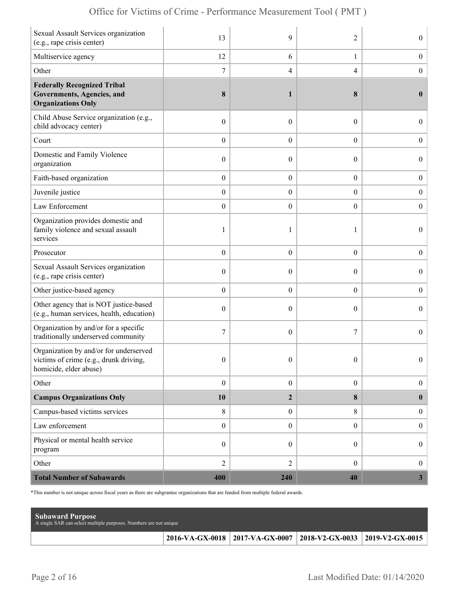| Sexual Assault Services organization<br>(e.g., rape crisis center)                                        | 13               | 9                | 2                | $\overline{0}$   |
|-----------------------------------------------------------------------------------------------------------|------------------|------------------|------------------|------------------|
| Multiservice agency                                                                                       | 12               | 6                | $\mathbf{1}$     | $\boldsymbol{0}$ |
| Other                                                                                                     | $\boldsymbol{7}$ | 4                | $\overline{4}$   | $\boldsymbol{0}$ |
| <b>Federally Recognized Tribal</b><br>Governments, Agencies, and<br><b>Organizations Only</b>             | 8                | 1                | 8                | $\bf{0}$         |
| Child Abuse Service organization (e.g.,<br>child advocacy center)                                         | $\boldsymbol{0}$ | $\overline{0}$   | $\theta$         | $\overline{0}$   |
| Court                                                                                                     | $\boldsymbol{0}$ | $\overline{0}$   | $\overline{0}$   | $\boldsymbol{0}$ |
| Domestic and Family Violence<br>organization                                                              | $\boldsymbol{0}$ | $\overline{0}$   | $\theta$         | $\overline{0}$   |
| Faith-based organization                                                                                  | $\boldsymbol{0}$ | $\boldsymbol{0}$ | $\boldsymbol{0}$ | $\boldsymbol{0}$ |
| Juvenile justice                                                                                          | $\boldsymbol{0}$ | $\boldsymbol{0}$ | $\boldsymbol{0}$ | $\boldsymbol{0}$ |
| Law Enforcement                                                                                           | $\boldsymbol{0}$ | $\overline{0}$   | $\overline{0}$   | $\boldsymbol{0}$ |
| Organization provides domestic and<br>family violence and sexual assault<br>services                      | 1                | 1                | 1                | $\overline{0}$   |
| Prosecutor                                                                                                | $\boldsymbol{0}$ | $\overline{0}$   | $\overline{0}$   | $\boldsymbol{0}$ |
| Sexual Assault Services organization<br>(e.g., rape crisis center)                                        | $\mathbf{0}$     | 0                | $\theta$         | $\overline{0}$   |
| Other justice-based agency                                                                                | $\boldsymbol{0}$ | $\boldsymbol{0}$ | $\boldsymbol{0}$ | $\boldsymbol{0}$ |
| Other agency that is NOT justice-based<br>(e.g., human services, health, education)                       | $\boldsymbol{0}$ | $\overline{0}$   | $\theta$         | $\boldsymbol{0}$ |
| Organization by and/or for a specific<br>traditionally underserved community                              | 7                | $\overline{0}$   | 7                | $\overline{0}$   |
| Organization by and/or for underserved<br>victims of crime (e.g., drunk driving<br>homicide, elder abuse) | $\mathbf{0}$     | $\overline{0}$   | $\theta$         | $\overline{0}$   |
| Other                                                                                                     | $\boldsymbol{0}$ | $\boldsymbol{0}$ | $\boldsymbol{0}$ | $\overline{0}$   |
| <b>Campus Organizations Only</b>                                                                          | 10               | $\overline{2}$   | 8                | $\bf{0}$         |
| Campus-based victims services                                                                             | $\,8\,$          | $\boldsymbol{0}$ | 8                | $\overline{0}$   |
| Law enforcement                                                                                           | $\boldsymbol{0}$ | $\boldsymbol{0}$ | $\boldsymbol{0}$ | $\boldsymbol{0}$ |
| Physical or mental health service<br>program                                                              | $\boldsymbol{0}$ | $\boldsymbol{0}$ | $\overline{0}$   | $\boldsymbol{0}$ |
| Other                                                                                                     | $\overline{2}$   | $\overline{2}$   | $\overline{0}$   | $\overline{0}$   |
| <b>Total Number of Subawards</b>                                                                          | 400              | 240              | 40               | 3 <sup>1</sup>   |

\*This number is not unique across fiscal years as there are subgrantee organizations that are funded from multiple federal awards.

| <b>Subaward Purpose</b><br>A single SAR can select multiple purposes. Numbers are not unique |                                                                       |  |
|----------------------------------------------------------------------------------------------|-----------------------------------------------------------------------|--|
|                                                                                              | 2016-VA-GX-0018   2017-VA-GX-0007   2018-V2-GX-0033   2019-V2-GX-0015 |  |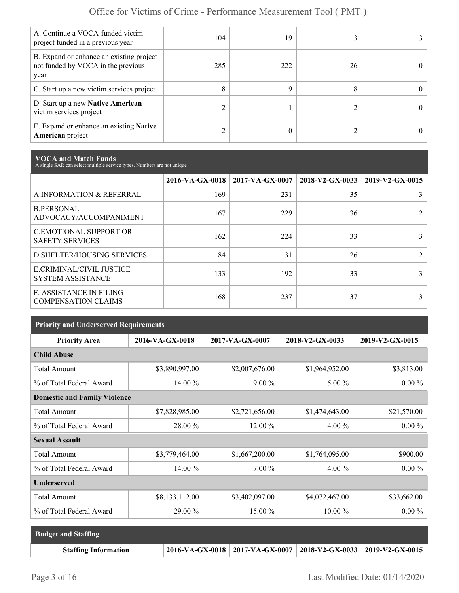| A. Continue a VOCA-funded victim<br>project funded in a previous year                  | 104 | 19  |    |            |
|----------------------------------------------------------------------------------------|-----|-----|----|------------|
| B. Expand or enhance an existing project<br>not funded by VOCA in the previous<br>year | 285 | 222 | 26 | 0.         |
| C. Start up a new victim services project                                              | 8   | Q   |    | $^{\circ}$ |
| D. Start up a new Native American<br>victim services project                           |     |     |    | 0          |
| E. Expand or enhance an existing <b>Native</b><br><b>American</b> project              |     |     |    |            |

**VOCA and Match Funds** A single SAR can select multiple service types. Numbers are not unique

|                                                         |     | $2016\text{-VA-GX-0018}$   2017-VA-GX-0007 | 2018-V2-GX-0033 | 2019-V2-GX-0015 |
|---------------------------------------------------------|-----|--------------------------------------------|-----------------|-----------------|
| A.INFORMATION & REFERRAL                                | 169 | 231                                        | 35              |                 |
| <b>B.PERSONAL</b><br>ADVOCACY/ACCOMPANIMENT             | 167 | 229                                        | 36              |                 |
| <b>C.EMOTIONAL SUPPORT OR</b><br><b>SAFETY SERVICES</b> | 162 | 224                                        | 33              |                 |
| <b>D.SHELTER/HOUSING SERVICES</b>                       | 84  | 131                                        | 26              |                 |
| E.CRIMINAL/CIVIL JUSTICE<br><b>SYSTEM ASSISTANCE</b>    | 133 | 192                                        | 33              |                 |
| F. ASSISTANCE IN FILING<br><b>COMPENSATION CLAIMS</b>   | 168 | 237                                        | 37              |                 |

| <b>Priority and Underserved Requirements</b> |                 |                 |                 |                 |  |  |
|----------------------------------------------|-----------------|-----------------|-----------------|-----------------|--|--|
| <b>Priority Area</b>                         | 2016-VA-GX-0018 | 2017-VA-GX-0007 | 2018-V2-GX-0033 | 2019-V2-GX-0015 |  |  |
| <b>Child Abuse</b>                           |                 |                 |                 |                 |  |  |
| <b>Total Amount</b>                          | \$3,890,997.00  | \$2,007,676.00  | \$1,964,952.00  | \$3,813.00      |  |  |
| % of Total Federal Award                     | $14.00\%$       | $9.00\%$        | $5.00\%$        | $0.00 \%$       |  |  |
| <b>Domestic and Family Violence</b>          |                 |                 |                 |                 |  |  |
| <b>Total Amount</b>                          | \$7,828,985.00  | \$2,721,656.00  | \$1,474,643.00  | \$21,570.00     |  |  |
| % of Total Federal Award                     | 28.00 %         | 12.00 %         | 4.00 %          | $0.00 \%$       |  |  |
| <b>Sexual Assault</b>                        |                 |                 |                 |                 |  |  |
| <b>Total Amount</b>                          | \$3,779,464.00  | \$1,667,200.00  | \$1,764,095.00  | \$900.00        |  |  |
| % of Total Federal Award                     | 14.00 %         | 7.00 %          | 4.00 %          | $0.00\%$        |  |  |
| <b>Underserved</b>                           |                 |                 |                 |                 |  |  |
| <b>Total Amount</b>                          | \$8,133,112.00  | \$3,402,097.00  | \$4,072,467.00  | \$33,662.00     |  |  |
| % of Total Federal Award                     | 29.00 %         | 15.00 %         | $10.00\%$       | $0.00 \%$       |  |  |

| <b>Budget and Staffing</b>  |                                                                       |  |
|-----------------------------|-----------------------------------------------------------------------|--|
| <b>Staffing Information</b> | 2016-VA-GX-0018   2017-VA-GX-0007   2018-V2-GX-0033   2019-V2-GX-0015 |  |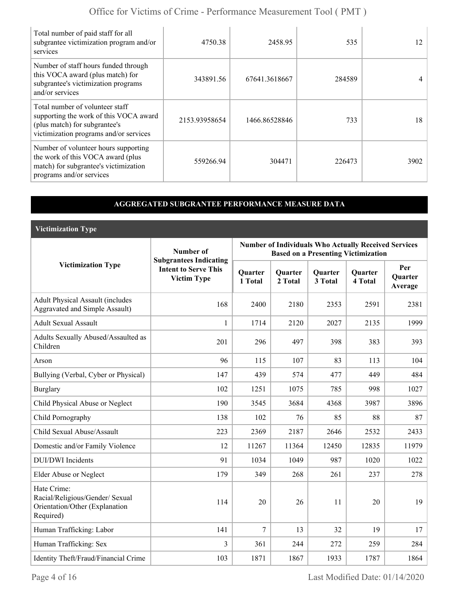| Total number of paid staff for all<br>subgrantee victimization program and/or<br>services                                                            | 4750.38       | 2458.95       | 535    | 12   |
|------------------------------------------------------------------------------------------------------------------------------------------------------|---------------|---------------|--------|------|
| Number of staff hours funded through<br>this VOCA award (plus match) for<br>subgrantee's victimization programs<br>and/or services                   | 343891.56     | 67641.3618667 | 284589 |      |
| Total number of volunteer staff<br>supporting the work of this VOCA award<br>(plus match) for subgrantee's<br>victimization programs and/or services | 2153.93958654 | 1466.86528846 | 733    | 18   |
| Number of volunteer hours supporting<br>the work of this VOCA award (plus<br>match) for subgrantee's victimization<br>programs and/or services       | 559266.94     | 304471        | 226473 | 3902 |

### **AGGREGATED SUBGRANTEE PERFORMANCE MEASURE DATA**

**Victimization Type**

|                                                                                               | Number of                                                                          | <b>Number of Individuals Who Actually Received Services</b><br><b>Based on a Presenting Victimization</b> |                           |                           |                           |                                  |  |
|-----------------------------------------------------------------------------------------------|------------------------------------------------------------------------------------|-----------------------------------------------------------------------------------------------------------|---------------------------|---------------------------|---------------------------|----------------------------------|--|
| <b>Victimization Type</b>                                                                     | <b>Subgrantees Indicating</b><br><b>Intent to Serve This</b><br><b>Victim Type</b> | Quarter<br>1 Total                                                                                        | <b>Quarter</b><br>2 Total | <b>Quarter</b><br>3 Total | <b>Quarter</b><br>4 Total | Per<br><b>Ouarter</b><br>Average |  |
| <b>Adult Physical Assault (includes</b><br><b>Aggravated and Simple Assault)</b>              | 168                                                                                | 2400                                                                                                      | 2180                      | 2353                      | 2591                      | 2381                             |  |
| <b>Adult Sexual Assault</b>                                                                   | 1                                                                                  | 1714                                                                                                      | 2120                      | 2027                      | 2135                      | 1999                             |  |
| Adults Sexually Abused/Assaulted as<br>Children                                               | 201                                                                                | 296                                                                                                       | 497                       | 398                       | 383                       | 393                              |  |
| Arson                                                                                         | 96                                                                                 | 115                                                                                                       | 107                       | 83                        | 113                       | 104                              |  |
| Bullying (Verbal, Cyber or Physical)                                                          | 147                                                                                | 439                                                                                                       | 574                       | 477                       | 449                       | 484                              |  |
| <b>Burglary</b>                                                                               | 102                                                                                | 1251                                                                                                      | 1075                      | 785                       | 998                       | 1027                             |  |
| Child Physical Abuse or Neglect                                                               | 190                                                                                | 3545                                                                                                      | 3684                      | 4368                      | 3987                      | 3896                             |  |
| Child Pornography                                                                             | 138                                                                                | 102                                                                                                       | 76                        | 85                        | 88                        | 87                               |  |
| Child Sexual Abuse/Assault                                                                    | 223                                                                                | 2369                                                                                                      | 2187                      | 2646                      | 2532                      | 2433                             |  |
| Domestic and/or Family Violence                                                               | 12                                                                                 | 11267                                                                                                     | 11364                     | 12450                     | 12835                     | 11979                            |  |
| <b>DUI/DWI</b> Incidents                                                                      | 91                                                                                 | 1034                                                                                                      | 1049                      | 987                       | 1020                      | 1022                             |  |
| Elder Abuse or Neglect                                                                        | 179                                                                                | 349                                                                                                       | 268                       | 261                       | 237                       | 278                              |  |
| Hate Crime:<br>Racial/Religious/Gender/ Sexual<br>Orientation/Other (Explanation<br>Required) | 114                                                                                | 20                                                                                                        | 26                        | 11                        | 20                        | 19                               |  |
| Human Trafficking: Labor                                                                      | 141                                                                                | $\tau$                                                                                                    | 13                        | 32                        | 19                        | 17                               |  |
| Human Trafficking: Sex                                                                        | 3                                                                                  | 361                                                                                                       | 244                       | 272                       | 259                       | 284                              |  |
| Identity Theft/Fraud/Financial Crime                                                          | 103                                                                                | 1871                                                                                                      | 1867                      | 1933                      | 1787                      | 1864                             |  |

Page 4 of 16 Last Modified Date: 01/14/2020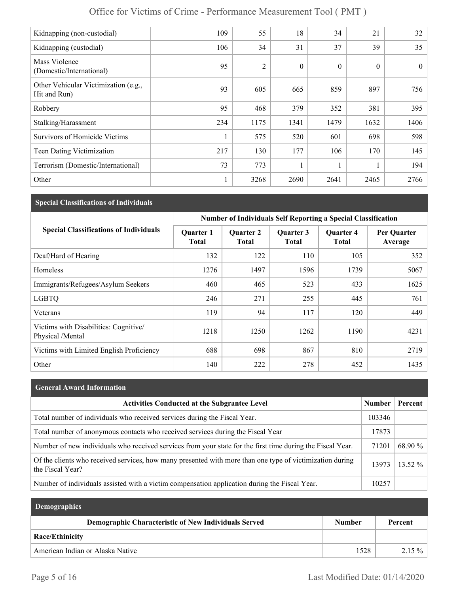| Kidnapping (non-custodial)                           | 109 | 55             | 18               | 34               | 21           | 32       |
|------------------------------------------------------|-----|----------------|------------------|------------------|--------------|----------|
| Kidnapping (custodial)                               | 106 | 34             | 31               | 37               | 39           | 35       |
| Mass Violence<br>(Domestic/International)            | 95  | $\overline{2}$ | $\boldsymbol{0}$ | $\boldsymbol{0}$ | $\mathbf{0}$ | $\theta$ |
| Other Vehicular Victimization (e.g.,<br>Hit and Run) | 93  | 605            | 665              | 859              | 897          | 756      |
| Robbery                                              | 95  | 468            | 379              | 352              | 381          | 395      |
| Stalking/Harassment                                  | 234 | 1175           | 1341             | 1479             | 1632         | 1406     |
| <b>Survivors of Homicide Victims</b>                 |     | 575            | 520              | 601              | 698          | 598      |
| Teen Dating Victimization                            | 217 | 130            | 177              | 106              | 170          | 145      |
| Terrorism (Domestic/International)                   | 73  | 773            |                  |                  |              | 194      |
| Other                                                |     | 3268           | 2690             | 2641             | 2465         | 2766     |

# **Special Classifications of Individuals**

|                                                           | <b>Number of Individuals Self Reporting a Special Classification</b> |                                  |                           |                                  |                        |  |
|-----------------------------------------------------------|----------------------------------------------------------------------|----------------------------------|---------------------------|----------------------------------|------------------------|--|
| <b>Special Classifications of Individuals</b>             | <b>Quarter 1</b><br><b>Total</b>                                     | <b>Quarter 2</b><br><b>Total</b> | Quarter 3<br><b>Total</b> | <b>Quarter 4</b><br><b>Total</b> | Per Quarter<br>Average |  |
| Deaf/Hard of Hearing                                      | 132                                                                  | 122                              | 110                       | 105                              | 352                    |  |
| Homeless                                                  | 1276                                                                 | 1497                             | 1596                      | 1739                             | 5067                   |  |
| Immigrants/Refugees/Asylum Seekers                        | 460                                                                  | 465                              | 523                       | 433                              | 1625                   |  |
| <b>LGBTQ</b>                                              | 246                                                                  | 271                              | 255                       | 445                              | 761                    |  |
| Veterans                                                  | 119                                                                  | 94                               | 117                       | 120                              | 449                    |  |
| Victims with Disabilities: Cognitive/<br>Physical /Mental | 1218                                                                 | 1250                             | 1262                      | 1190                             | 4231                   |  |
| Victims with Limited English Proficiency                  | 688                                                                  | 698                              | 867                       | 810                              | 2719                   |  |
| Other                                                     | 140                                                                  | 222                              | 278                       | 452                              | 1435                   |  |

| <b>General Award Information</b>                                                                                             |               |           |
|------------------------------------------------------------------------------------------------------------------------------|---------------|-----------|
| <b>Activities Conducted at the Subgrantee Level</b>                                                                          | <b>Number</b> | Percent   |
| Total number of individuals who received services during the Fiscal Year.                                                    | 103346        |           |
| Total number of anonymous contacts who received services during the Fiscal Year                                              | 17873         |           |
| Number of new individuals who received services from your state for the first time during the Fiscal Year.                   | 71201         | 68.90 %   |
| Of the clients who received services, how many presented with more than one type of victimization during<br>the Fiscal Year? | 13973         | $13.52\%$ |
| Number of individuals assisted with a victim compensation application during the Fiscal Year.                                | 10257         |           |

| <b>Demographics</b>                                  |               |          |
|------------------------------------------------------|---------------|----------|
| Demographic Characteristic of New Individuals Served | <b>Number</b> | Percent  |
| <b>Race/Ethinicity</b>                               |               |          |
| American Indian or Alaska Native                     | 1528          | $2.15\%$ |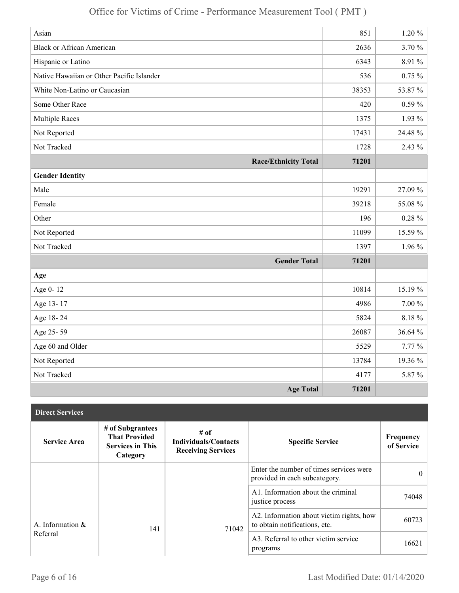| Asian                                     | 851   | $1.20 \%$  |
|-------------------------------------------|-------|------------|
| <b>Black or African American</b>          | 2636  | 3.70 %     |
| Hispanic or Latino                        | 6343  | 8.91 %     |
| Native Hawaiian or Other Pacific Islander | 536   | $0.75\%$   |
| White Non-Latino or Caucasian             | 38353 | 53.87%     |
| Some Other Race                           | 420   | $0.59\%$   |
| <b>Multiple Races</b>                     | 1375  | 1.93 %     |
| Not Reported                              | 17431 | 24.48 %    |
| Not Tracked                               | 1728  | 2.43 %     |
| <b>Race/Ethnicity Total</b>               | 71201 |            |
| <b>Gender Identity</b>                    |       |            |
| Male                                      | 19291 | 27.09%     |
| Female                                    | 39218 | 55.08%     |
| Other                                     | 196   | $0.28 \%$  |
| Not Reported                              | 11099 | 15.59 %    |
| Not Tracked                               | 1397  | $1.96\%$   |
| <b>Gender Total</b>                       | 71201 |            |
| Age                                       |       |            |
| Age 0-12                                  | 10814 | 15.19 %    |
| Age 13-17                                 | 4986  | $7.00\,\%$ |
| Age 18-24                                 | 5824  | $8.18 \%$  |
| Age 25-59                                 | 26087 | 36.64 %    |
| Age 60 and Older                          | 5529  | $7.77\%$   |
| Not Reported                              | 13784 | 19.36 %    |
| Not Tracked                               | 4177  | 5.87%      |
| <b>Age Total</b>                          | 71201 |            |

| <b>Direct Services</b> |                                                                                 |                                                                  |                                                                           |                         |
|------------------------|---------------------------------------------------------------------------------|------------------------------------------------------------------|---------------------------------------------------------------------------|-------------------------|
| <b>Service Area</b>    | # of Subgrantees<br><b>That Provided</b><br><b>Services in This</b><br>Category | # of<br><b>Individuals/Contacts</b><br><b>Receiving Services</b> | <b>Specific Service</b>                                                   | Frequency<br>of Service |
|                        |                                                                                 |                                                                  | Enter the number of times services were<br>provided in each subcategory.  | $\theta$                |
|                        |                                                                                 |                                                                  | A1. Information about the criminal<br>justice process                     | 74048                   |
| A. Information $\&$    | 141                                                                             | 71042                                                            | A2. Information about victim rights, how<br>to obtain notifications, etc. | 60723                   |
| Referral               |                                                                                 |                                                                  | A3. Referral to other victim service<br>programs                          | 16621                   |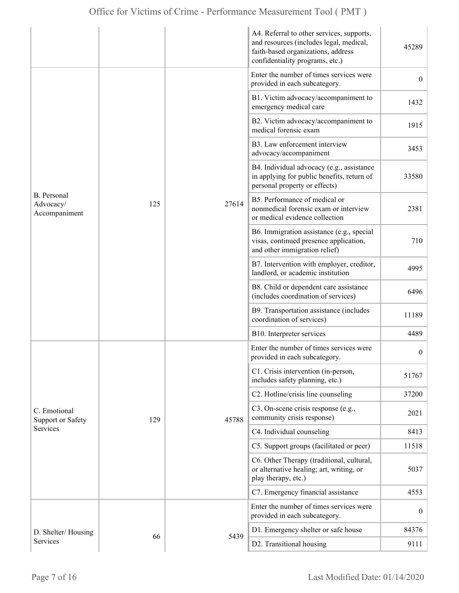|                                                  |     |       | A4. Referral to other services, supports,<br>and resources (includes legal, medical,<br>faith-based organizations, address<br>confidentiality programs, etc.) | 45289            |
|--------------------------------------------------|-----|-------|---------------------------------------------------------------------------------------------------------------------------------------------------------------|------------------|
| <b>B.</b> Personal<br>Advocacy/<br>Accompaniment |     | 27614 | Enter the number of times services were<br>provided in each subcategory.                                                                                      | $\overline{0}$   |
|                                                  |     |       | B1. Victim advocacy/accompaniment to<br>emergency medical care                                                                                                | 1432             |
|                                                  |     |       | B2. Victim advocacy/accompaniment to<br>medical forensic exam                                                                                                 | 1915             |
|                                                  |     |       | B3. Law enforcement interview<br>advocacy/accompaniment                                                                                                       | 3453             |
|                                                  |     |       | B4. Individual advocacy (e.g., assistance<br>in applying for public benefits, return of<br>personal property or effects)                                      | 33580            |
|                                                  | 125 |       | B5. Performance of medical or<br>nonmedical forensic exam or interview<br>or medical evidence collection                                                      | 2381             |
|                                                  |     |       | B6. Immigration assistance (e.g., special<br>visas, continued presence application,<br>and other immigration relief)                                          | 710              |
|                                                  |     |       | B7. Intervention with employer, creditor,<br>landlord, or academic institution                                                                                | 4995             |
|                                                  |     |       | B8. Child or dependent care assistance<br>(includes coordination of services)                                                                                 | 6496             |
|                                                  |     |       | B9. Transportation assistance (includes<br>coordination of services)                                                                                          | 11189            |
|                                                  |     |       | B10. Interpreter services                                                                                                                                     | 4489             |
|                                                  |     |       | Enter the number of times services were<br>provided in each subcategory.                                                                                      | $\boldsymbol{0}$ |
|                                                  |     |       | C1. Crisis intervention (in-person,<br>includes safety planning, etc.)                                                                                        | 51767            |
|                                                  |     | 45788 | C2. Hotline/crisis line counseling                                                                                                                            | 37200            |
| C. Emotional<br><b>Support or Safety</b>         | 129 |       | C3. On-scene crisis response (e.g.,<br>community crisis response)                                                                                             | 2021             |
| Services                                         |     |       | C4. Individual counseling                                                                                                                                     | 8413             |
|                                                  |     |       | C5. Support groups (facilitated or peer)                                                                                                                      | 11518            |
|                                                  |     |       | C6. Other Therapy (traditional, cultural,<br>or alternative healing; art, writing, or<br>play therapy, etc.)                                                  | 5037             |
|                                                  |     |       | C7. Emergency financial assistance                                                                                                                            | 4553             |
|                                                  |     |       | Enter the number of times services were<br>provided in each subcategory.                                                                                      | $\boldsymbol{0}$ |
| D. Shelter/Housing                               |     |       | D1. Emergency shelter or safe house                                                                                                                           | 84376            |
| Services                                         | 66  | 5439  | D2. Transitional housing                                                                                                                                      | 9111             |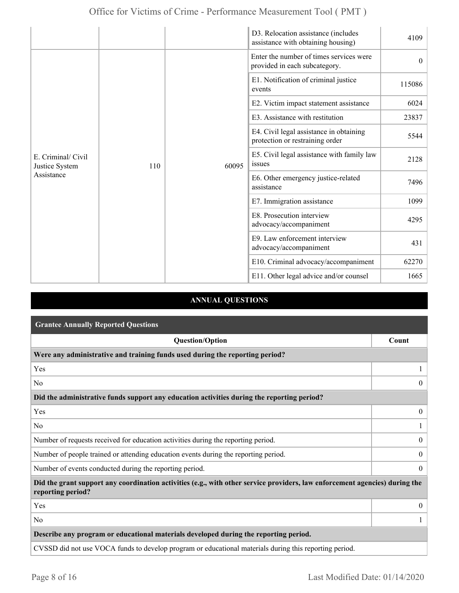|                                                    |  |                                                                                                                                                                                                                                                                                                                                                                                                                    | D3. Relocation assistance (includes<br>assistance with obtaining housing) | 4109                         |
|----------------------------------------------------|--|--------------------------------------------------------------------------------------------------------------------------------------------------------------------------------------------------------------------------------------------------------------------------------------------------------------------------------------------------------------------------------------------------------------------|---------------------------------------------------------------------------|------------------------------|
| E. Criminal/ Civil<br>Justice System<br>Assistance |  | Enter the number of times services were<br>provided in each subcategory.<br>E1. Notification of criminal justice<br>events<br>E2. Victim impact statement assistance<br>E3. Assistance with restitution<br>E4. Civil legal assistance in obtaining<br>protection or restraining order<br>E5. Civil legal assistance with family law<br>issues<br>60095<br>110<br>E6. Other emergency justice-related<br>assistance |                                                                           | $\theta$                     |
|                                                    |  |                                                                                                                                                                                                                                                                                                                                                                                                                    |                                                                           | 115086                       |
|                                                    |  |                                                                                                                                                                                                                                                                                                                                                                                                                    |                                                                           | 6024                         |
|                                                    |  |                                                                                                                                                                                                                                                                                                                                                                                                                    | 23837                                                                     |                              |
|                                                    |  |                                                                                                                                                                                                                                                                                                                                                                                                                    |                                                                           | 5544                         |
|                                                    |  |                                                                                                                                                                                                                                                                                                                                                                                                                    |                                                                           | 2128                         |
|                                                    |  |                                                                                                                                                                                                                                                                                                                                                                                                                    |                                                                           | 7496                         |
|                                                    |  | E7. Immigration assistance                                                                                                                                                                                                                                                                                                                                                                                         | 1099                                                                      |                              |
|                                                    |  |                                                                                                                                                                                                                                                                                                                                                                                                                    | E8. Prosecution interview<br>advocacy/accompaniment                       | 4295<br>431<br>62270<br>1665 |
|                                                    |  | E9. Law enforcement interview<br>advocacy/accompaniment<br>E10. Criminal advocacy/accompaniment<br>E11. Other legal advice and/or counsel                                                                                                                                                                                                                                                                          |                                                                           |                              |
|                                                    |  |                                                                                                                                                                                                                                                                                                                                                                                                                    |                                                                           |                              |
|                                                    |  |                                                                                                                                                                                                                                                                                                                                                                                                                    |                                                                           |                              |

### **ANNUAL QUESTIONS**

| <b>Grantee Annually Reported Questions</b>                                                                                                       |                  |
|--------------------------------------------------------------------------------------------------------------------------------------------------|------------------|
| <b>Question/Option</b>                                                                                                                           | Count            |
| Were any administrative and training funds used during the reporting period?                                                                     |                  |
| Yes                                                                                                                                              |                  |
| N <sub>0</sub>                                                                                                                                   | $\overline{0}$   |
| Did the administrative funds support any education activities during the reporting period?                                                       |                  |
| Yes                                                                                                                                              | $\boldsymbol{0}$ |
| No                                                                                                                                               |                  |
| Number of requests received for education activities during the reporting period.                                                                | $\overline{0}$   |
| Number of people trained or attending education events during the reporting period.                                                              | $\overline{0}$   |
| Number of events conducted during the reporting period.                                                                                          | $\theta$         |
| Did the grant support any coordination activities (e.g., with other service providers, law enforcement agencies) during the<br>reporting period? |                  |
| Yes                                                                                                                                              | $\boldsymbol{0}$ |
| N <sub>0</sub>                                                                                                                                   |                  |
| Describe any program or educational materials developed during the reporting period.                                                             |                  |
| CVSSD did not use VOCA funds to develop program or educational materials during this reporting period.                                           |                  |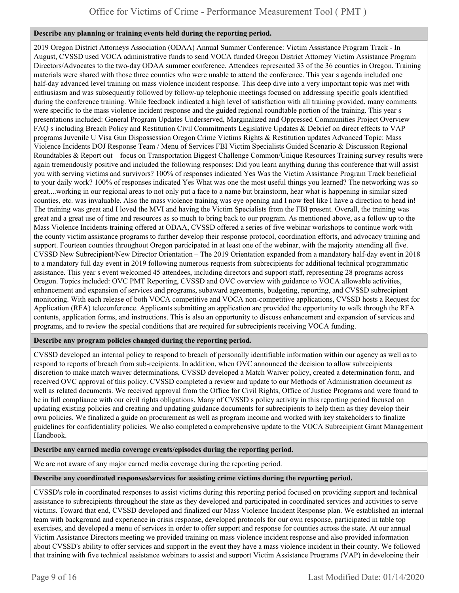#### **Describe any planning or training events held during the reporting period.**

2019 Oregon District Attorneys Association (ODAA) Annual Summer Conference: Victim Assistance Program Track - In August, CVSSD used VOCA administrative funds to send VOCA funded Oregon District Attorney Victim Assistance Program Directors/Advocates to the two-day ODAA summer conference. Attendees represented 33 of the 36 counties in Oregon. Training materials were shared with those three counties who were unable to attend the conference. This year s agenda included one half-day advanced level training on mass violence incident response. This deep dive into a very important topic was met with enthusiasm and was subsequently followed by follow-up telephonic meetings focused on addressing specific goals identified during the conference training. While feedback indicated a high level of satisfaction with all training provided, many comments were specific to the mass violence incident response and the guided regional roundtable portion of the training. This year s presentations included: General Program Updates Underserved, Marginalized and Oppressed Communities Project Overview FAQ s including Breach Policy and Restitution Civil Commitments Legislative Updates & Debrief on direct effects to VAP programs Juvenile U Visa Gun Dispossession Oregon Crime Victims Rights & Restitution updates Advanced Topic: Mass Violence Incidents DOJ Response Team / Menu of Services FBI Victim Specialists Guided Scenario & Discussion Regional Roundtables & Report out – focus on Transportation Biggest Challenge Common/Unique Resources Training survey results were again tremendously positive and included the following responses: Did you learn anything during this conference that will assist you with serving victims and survivors? 100% of responses indicated Yes Was the Victim Assistance Program Track beneficial to your daily work? 100% of responses indicated Yes What was one the most useful things you learned? The networking was so great....working in our regional areas to not only put a face to a name but brainstorm, hear what is happening in similar sized counties, etc. was invaluable. Also the mass violence training was eye opening and I now feel like I have a direction to head in! The training was great and I loved the MVI and having the Victim Specialists from the FBI present. Overall, the training was great and a great use of time and resources as so much to bring back to our program. As mentioned above, as a follow up to the Mass Violence Incidents training offered at ODAA, CVSSD offered a series of five webinar workshops to continue work with the county victim assistance programs to further develop their response protocol, coordination efforts, and advocacy training and support. Fourteen counties throughout Oregon participated in at least one of the webinar, with the majority attending all five. CVSSD New Subrecipient/New Director Orientation – The 2019 Orientation expanded from a mandatory half-day event in 2018 to a mandatory full day event in 2019 following numerous requests from subrecipients for additional technical programmatic assistance. This year s event welcomed 45 attendees, including directors and support staff, representing 28 programs across Oregon. Topics included: OVC PMT Reporting, CVSSD and OVC overview with guidance to VOCA allowable activities, enhancement and expansion of services and programs, subaward agreements, budgeting, reporting, and CVSSD subrecipient monitoring. With each release of both VOCA competitive and VOCA non-competitive applications, CVSSD hosts a Request for Application (RFA) teleconference. Applicants submitting an application are provided the opportunity to walk through the RFA contents, application forms, and instructions. This is also an opportunity to discuss enhancement and expansion of services and programs, and to review the special conditions that are required for subrecipients receiving VOCA funding.

#### **Describe any program policies changed during the reporting period.**

CVSSD developed an internal policy to respond to breach of personally identifiable information within our agency as well as to respond to reports of breach from sub-recipients. In addition, when OVC announced the decision to allow subrecipients discretion to make match waiver determinations, CVSSD developed a Match Waiver policy, created a determination form, and received OVC approval of this policy. CVSSD completed a review and update to our Methods of Administration document as well as related documents. We received approval from the Office for Civil Rights, Office of Justice Programs and were found to be in full compliance with our civil rights obligations. Many of CVSSD s policy activity in this reporting period focused on updating existing policies and creating and updating guidance documents for subrecipients to help them as they develop their own policies. We finalized a guide on procurement as well as program income and worked with key stakeholders to finalize guidelines for confidentiality policies. We also completed a comprehensive update to the VOCA Subrecipient Grant Management Handbook.

#### **Describe any earned media coverage events/episodes during the reporting period.**

We are not aware of any major earned media coverage during the reporting period.

#### **Describe any coordinated responses/services for assisting crime victims during the reporting period.**

CVSSD's role in coordinated responses to assist victims during this reporting period focused on providing support and technical assistance to subrecipients throughout the state as they developed and participated in coordinated services and activities to serve victims. Toward that end, CVSSD developed and finalized our Mass Violence Incident Response plan. We established an internal team with background and experience in crisis response, developed protocols for our own response, participated in table top exercises, and developed a menu of services in order to offer support and response for counties across the state. At our annual Victim Assistance Directors meeting we provided training on mass violence incident response and also provided information about CVSSD's ability to offer services and support in the event they have a mass violence incident in their county. We followed that training with five technical assistance webinars to assist and support Victim Assistance Programs (VAP) in developing their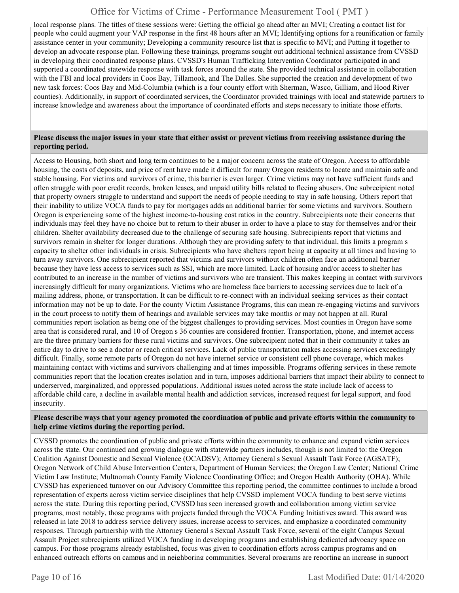local response plans. The titles of these sessions were: Getting the official go ahead after an MVI; Creating a contact list for people who could augment your VAP response in the first 48 hours after an MVI; Identifying options for a reunification or family assistance center in your community; Developing a community resource list that is specific to MVI; and Putting it together to develop an advocate response plan. Following these trainings, programs sought out additional technical assistance from CVSSD in developing their coordinated response plans. CVSSD's Human Trafficking Intervention Coordinator participated in and supported a coordinated statewide response with task forces around the state. She provided technical assistance in collaboration with the FBI and local providers in Coos Bay, Tillamook, and The Dalles. She supported the creation and development of two new task forces: Coos Bay and Mid-Columbia (which is a four county effort with Sherman, Wasco, Gilliam, and Hood River counties). Additionally, in support of coordinated services, the Coordinator provided trainings with local and statewide partners to increase knowledge and awareness about the importance of coordinated efforts and steps necessary to initiate those efforts.

#### **Please discuss the major issues in your state that either assist or prevent victims from receiving assistance during the reporting period.**

Access to Housing, both short and long term continues to be a major concern across the state of Oregon. Access to affordable housing, the costs of deposits, and price of rent have made it difficult for many Oregon residents to locate and maintain safe and stable housing. For victims and survivors of crime, this barrier is even larger. Crime victims may not have sufficient funds and often struggle with poor credit records, broken leases, and unpaid utility bills related to fleeing abusers. One subrecipient noted that property owners struggle to understand and support the needs of people needing to stay in safe housing. Others report that their inability to utilize VOCA funds to pay for mortgages adds an additional barrier for some victims and survivors. Southern Oregon is experiencing some of the highest income-to-housing cost ratios in the country. Subrecipients note their concerns that individuals may feel they have no choice but to return to their abuser in order to have a place to stay for themselves and/or their children. Shelter availability decreased due to the challenge of securing safe housing. Subrecipients report that victims and survivors remain in shelter for longer durations. Although they are providing safety to that individual, this limits a program s capacity to shelter other individuals in crisis. Subrecipients who have shelters report being at capacity at all times and having to turn away survivors. One subrecipient reported that victims and survivors without children often face an additional barrier because they have less access to services such as SSI, which are more limited. Lack of housing and/or access to shelter has contributed to an increase in the number of victims and survivors who are transient. This makes keeping in contact with survivors increasingly difficult for many organizations. Victims who are homeless face barriers to accessing services due to lack of a mailing address, phone, or transportation. It can be difficult to re-connect with an individual seeking services as their contact information may not be up to date. For the county Victim Assistance Programs, this can mean re-engaging victims and survivors in the court process to notify them of hearings and available services may take months or may not happen at all. Rural communities report isolation as being one of the biggest challenges to providing services. Most counties in Oregon have some area that is considered rural, and 10 of Oregon s 36 counties are considered frontier. Transportation, phone, and internet access are the three primary barriers for these rural victims and survivors. One subrecipient noted that in their community it takes an entire day to drive to see a doctor or reach critical services. Lack of public transportation makes accessing services exceedingly difficult. Finally, some remote parts of Oregon do not have internet service or consistent cell phone coverage, which makes maintaining contact with victims and survivors challenging and at times impossible. Programs offering services in these remote communities report that the location creates isolation and in turn, imposes additional barriers that impact their ability to connect to underserved, marginalized, and oppressed populations. Additional issues noted across the state include lack of access to affordable child care, a decline in available mental health and addiction services, increased request for legal support, and food insecurity.

#### **Please describe ways that your agency promoted the coordination of public and private efforts within the community to help crime victims during the reporting period.**

CVSSD promotes the coordination of public and private efforts within the community to enhance and expand victim services across the state. Our continued and growing dialogue with statewide partners includes, though is not limited to: the Oregon Coalition Against Domestic and Sexual Violence (OCADSV); Attorney General s Sexual Assault Task Force (AGSATF); Oregon Network of Child Abuse Intervention Centers, Department of Human Services; the Oregon Law Center; National Crime Victim Law Institute; Multnomah County Family Violence Coordinating Office; and Oregon Health Authority (OHA). While CVSSD has experienced turnover on our Advisory Committee this reporting period, the committee continues to include a broad representation of experts across victim service disciplines that help CVSSD implement VOCA funding to best serve victims across the state. During this reporting period, CVSSD has seen increased growth and collaboration among victim service programs, most notably, those programs with projects funded through the VOCA Funding Initiatives award. This award was released in late 2018 to address service delivery issues, increase access to services, and emphasize a coordinated community responses. Through partnership with the Attorney General s Sexual Assault Task Force, several of the eight Campus Sexual Assault Project subrecipients utilized VOCA funding in developing programs and establishing dedicated advocacy space on campus. For those programs already established, focus was given to coordination efforts across campus programs and on enhanced outreach efforts on campus and in neighboring communities. Several programs are reporting an increase in support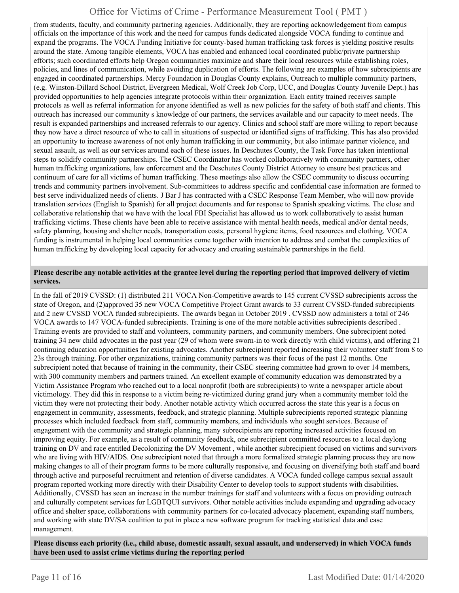from students, faculty, and community partnering agencies. Additionally, they are reporting acknowledgement from campus officials on the importance of this work and the need for campus funds dedicated alongside VOCA funding to continue and expand the programs. The VOCA Funding Initiative for county-based human trafficking task forces is yielding positive results around the state. Among tangible elements, VOCA has enabled and enhanced local coordinated public/private partnership efforts; such coordinated efforts help Oregon communities maximize and share their local resources while establishing roles, policies, and lines of communication, while avoiding duplication of efforts. The following are examples of how subrecipients are engaged in coordinated partnerships. Mercy Foundation in Douglas County explains, Outreach to multiple community partners, (e.g. Winston-Dillard School District, Evergreen Medical, Wolf Creek Job Corp, UCC, and Douglas County Juvenile Dept.) has provided opportunities to help agencies integrate protocols within their organization. Each entity trained receives sample protocols as well as referral information for anyone identified as well as new policies for the safety of both staff and clients. This outreach has increased our community s knowledge of our partners, the services available and our capacity to meet needs. The result is expanded partnerships and increased referrals to our agency. Clinics and school staff are more willing to report because they now have a direct resource of who to call in situations of suspected or identified signs of trafficking. This has also provided an opportunity to increase awareness of not only human trafficking in our community, but also intimate partner violence, and sexual assault, as well as our services around each of these issues. In Deschutes County, the Task Force has taken intentional steps to solidify community partnerships. The CSEC Coordinator has worked collaboratively with community partners, other human trafficking organizations, law enforcement and the Deschutes County District Attorney to ensure best practices and continuum of care for all victims of human trafficking. These meetings also allow the CSEC community to discuss occurring trends and community partners involvement. Sub-committees to address specific and confidential case information are formed to best serve individualized needs of clients. J Bar J has contracted with a CSEC Response Team Member, who will now provide translation services (English to Spanish) for all project documents and for response to Spanish speaking victims. The close and collaborative relationship that we have with the local FBI Specialist has allowed us to work collaboratively to assist human trafficking victims. These clients have been able to receive assistance with mental health needs, medical and/or dental needs, safety planning, housing and shelter needs, transportation costs, personal hygiene items, food resources and clothing. VOCA funding is instrumental in helping local communities come together with intention to address and combat the complexities of human trafficking by developing local capacity for advocacy and creating sustainable partnerships in the field.

#### **Please describe any notable activities at the grantee level during the reporting period that improved delivery of victim services.**

In the fall of 2019 CVSSD: (1) distributed 211 VOCA Non-Competitive awards to 145 current CVSSD subrecipients across the state of Oregon, and (2)approved 35 new VOCA Competitive Project Grant awards to 33 current CVSSD-funded subrecipients and 2 new CVSSD VOCA funded subrecipients. The awards began in October 2019 . CVSSD now administers a total of 246 VOCA awards to 147 VOCA-funded subrecipients. Training is one of the more notable activities subrecipients described . Training events are provided to staff and volunteers, community partners, and community members. One subrecipient noted training 34 new child advocates in the past year (29 of whom were sworn-in to work directly with child victims), and offering 21 continuing education opportunities for existing advocates. Another subrecipient reported increasing their volunteer staff from 8 to 23s through training. For other organizations, training community partners was their focus of the past 12 months. One subrecipient noted that because of training in the community, their CSEC steering committee had grown to over 14 members, with 300 community members and partners trained. An excellent example of community education was demonstrated by a Victim Assistance Program who reached out to a local nonprofit (both are subrecipients) to write a newspaper article about victimology. They did this in response to a victim being re-victimized during grand jury when a community member told the victim they were not protecting their body. Another notable activity which occurred across the state this year is a focus on engagement in community, assessments, feedback, and strategic planning. Multiple subrecipients reported strategic planning processes which included feedback from staff, community members, and individuals who sought services. Because of engagement with the community and strategic planning, many subrecipients are reporting increased activities focused on improving equity. For example, as a result of community feedback, one subrecipient committed resources to a local daylong training on DV and race entitled Decolonizing the DV Movement , while another subrecipient focused on victims and survivors who are living with HIV/AIDS. One subrecipient noted that through a more formalized strategic planning process they are now making changes to all of their program forms to be more culturally responsive, and focusing on diversifying both staff and board through active and purposeful recruitment and retention of diverse candidates. A VOCA funded college campus sexual assault program reported working more directly with their Disability Center to develop tools to support students with disabilities. Additionally, CVSSD has seen an increase in the number trainings for staff and volunteers with a focus on providing outreach and culturally competent services for LGBTQUI survivors. Other notable activities include expanding and upgrading advocacy office and shelter space, collaborations with community partners for co-located advocacy placement, expanding staff numbers, and working with state DV/SA coalition to put in place a new software program for tracking statistical data and case management.

**Please discuss each priority (i.e., child abuse, domestic assault, sexual assault, and underserved) in which VOCA funds have been used to assist crime victims during the reporting period**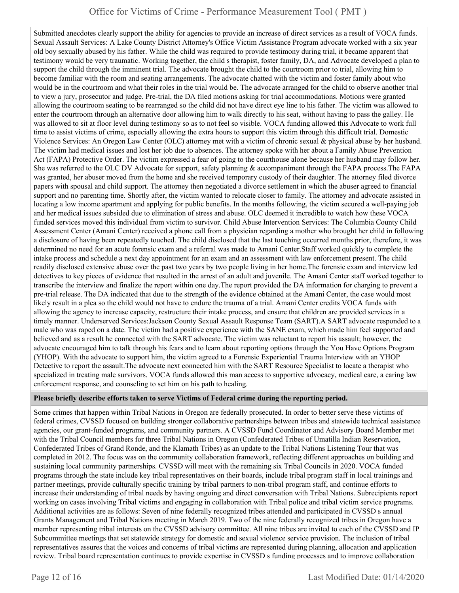Submitted anecdotes clearly support the ability for agencies to provide an increase of direct services as a result of VOCA funds. Sexual Assault Services: A Lake County District Attorney's Office Victim Assistance Program advocate worked with a six year old boy sexually abused by his father. While the child was required to provide testimony during trial, it became apparent that testimony would be very traumatic. Working together, the child s therapist, foster family, DA, and Advocate developed a plan to support the child through the imminent trial. The advocate brought the child to the courtroom prior to trial, allowing him to become familiar with the room and seating arrangements. The advocate chatted with the victim and foster family about who would be in the courtroom and what their roles in the trial would be. The advocate arranged for the child to observe another trial to view a jury, prosecutor and judge. Pre-trial, the DA filed motions asking for trial accommodations. Motions were granted allowing the courtroom seating to be rearranged so the child did not have direct eye line to his father. The victim was allowed to enter the courtroom through an alternative door allowing him to walk directly to his seat, without having to pass the galley. He was allowed to sit at floor level during testimony so as to not feel so visible. VOCA funding allowed this Advocate to work full time to assist victims of crime, especially allowing the extra hours to support this victim through this difficult trial. Domestic Violence Services: An Oregon Law Center (OLC) attorney met with a victim of chronic sexual & physical abuse by her husband. The victim had medical issues and lost her job due to absences. The attorney spoke with her about a Family Abuse Prevention Act (FAPA) Protective Order. The victim expressed a fear of going to the courthouse alone because her husband may follow her. She was referred to the OLC DV Advocate for support, safety planning & accompaniment through the FAPA process. The FAPA was granted, her abuser moved from the home and she received temporary custody of their daughter. The attorney filed divorce papers with spousal and child support. The attorney then negotiated a divorce settlement in which the abuser agreed to financial support and no parenting time. Shortly after, the victim wanted to relocate closer to family. The attorney and advocate assisted in locating a low income apartment and applying for public benefits. In the months following, the victim secured a well-paying job and her medical issues subsided due to elimination of stress and abuse. OLC deemed it incredible to watch how these VOCA funded services moved this individual from victim to survivor. Child Abuse Intervention Services: The Columbia County Child Assessment Center (Amani Center) received a phone call from a physician regarding a mother who brought her child in following a disclosure of having been repeatedly touched. The child disclosed that the last touching occurred months prior, therefore, it was determined no need for an acute forensic exam and a referral was made to Amani Center.Staff worked quickly to complete the intake process and schedule a next day appointment for an exam and an assessment with law enforcement present. The child readily disclosed extensive abuse over the past two years by two people living in her home.The forensic exam and interview led detectives to key pieces of evidence that resulted in the arrest of an adult and juvenile. The Amani Center staff worked together to transcribe the interview and finalize the report within one day.The report provided the DA information for charging to prevent a pre-trial release. The DA indicated that due to the strength of the evidence obtained at the Amani Center, the case would most likely result in a plea so the child would not have to endure the trauma of a trial. Amani Center credits VOCA funds with allowing the agency to increase capacity, restructure their intake process, and ensure that children are provided services in a timely manner. Underserved Services:Jackson County Sexual Assault Response Team (SART).A SART advocate responded to a male who was raped on a date. The victim had a positive experience with the SANE exam, which made him feel supported and believed and as a result he connected with the SART advocate. The victim was reluctant to report his assault; however, the advocate encouraged him to talk through his fears and to learn about reporting options through the You Have Options Program (YHOP). With the advocate to support him, the victim agreed to a Forensic Experiential Trauma Interview with an YHOP Detective to report the assault.The advocate next connected him with the SART Resource Specialist to locate a therapist who specialized in treating male survivors. VOCA funds allowed this man access to supportive advocacy, medical care, a caring law enforcement response, and counseling to set him on his path to healing.

#### **Please briefly describe efforts taken to serve Victims of Federal crime during the reporting period.**

Some crimes that happen within Tribal Nations in Oregon are federally prosecuted. In order to better serve these victims of federal crimes, CVSSD focused on building stronger collaborative partnerships between tribes and statewide technical assistance agencies, our grant-funded programs, and community partners. A CVSSD Fund Coordinator and Advisory Board Member met with the Tribal Council members for three Tribal Nations in Oregon (Confederated Tribes of Umatilla Indian Reservation, Confederated Tribes of Grand Ronde, and the Klamath Tribes) as an update to the Tribal Nations Listening Tour that was completed in 2012. The focus was on the community collaboration framework, reflecting different approaches on building and sustaining local community partnerships. CVSSD will meet with the remaining six Tribal Councils in 2020. VOCA funded programs through the state include key tribal representatives on their boards, include tribal program staff in local trainings and partner meetings, provide culturally specific training by tribal partners to non-tribal program staff, and continue efforts to increase their understanding of tribal needs by having ongoing and direct conversation with Tribal Nations. Subrecipients report working on cases involving Tribal victims and engaging in collaboration with Tribal police and tribal victim service programs. Additional activities are as follows: Seven of nine federally recognized tribes attended and participated in CVSSD s annual Grants Management and Tribal Nations meeting in March 2019. Two of the nine federally recognized tribes in Oregon have a member representing tribal interests on the CVSSD advisory committee. All nine tribes are invited to each of the CVSSD and IP Subcommittee meetings that set statewide strategy for domestic and sexual violence service provision. The inclusion of tribal representatives assures that the voices and concerns of tribal victims are represented during planning, allocation and application review. Tribal board representation continues to provide expertise in CVSSD s funding processes and to improve collaboration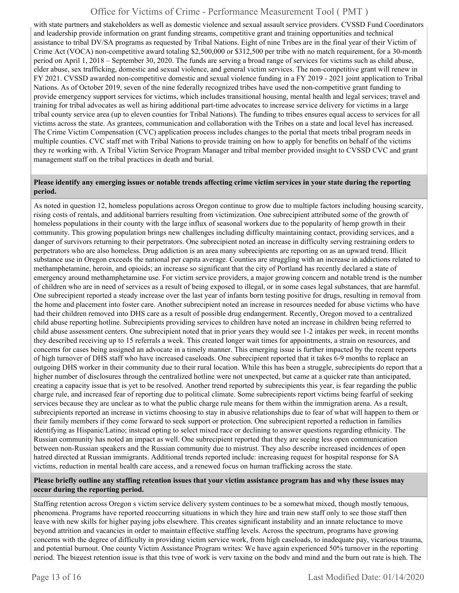with state partners and stakeholders as well as domestic violence and sexual assault service providers. CVSSD Fund Coordinators and leadership provide information on grant funding streams, competitive grant and training opportunities and technical assistance to tribal DV/SA programs as requested by Tribal Nations. Eight of nine Tribes are in the final year of their Victim of Crime Act (VOCA) non-competitive award totaling \$2,500,000 or \$312,500 per tribe with no match requirement, for a 30-month period on April 1, 2018 – September 30, 2020. The funds are serving a broad range of services for victims such as child abuse, elder abuse, sex trafficking, domestic and sexual violence, and general victim services. The non-competitive grant will renew in FY 2021. CVSSD awarded non-competitive domestic and sexual violence funding in a FY 2019 - 2021 joint application to Tribal Nations. As of October 2019, seven of the nine federally recognized tribes have used the non-competitive grant funding to provide emergency support services for victims, which includes transitional housing, mental health and legal services; travel and training for tribal advocates as well as hiring additional part-time advocates to increase service delivery for victims in a large tribal county service area (up to eleven counties for Tribal Nations). The funding to tribes ensures equal access to services for all victims across the state. As grantees, communication and collaboration with the Tribes on a state and local level has increased. The Crime Victim Compensation (CVC) application process includes changes to the portal that meets tribal program needs in multiple counties. CVC staff met with Tribal Nations to provide training on how to apply for benefits on behalf of the victims they re working with. A Tribal Victim Service Program Manager and tribal member provided insight to CVSSD CVC and grant management staff on the tribal practices in death and burial.

#### **Please identify any emerging issues or notable trends affecting crime victim services in your state during the reporting period.**

As noted in question 12, homeless populations across Oregon continue to grow due to multiple factors including housing scarcity, rising costs of rentals, and additional barriers resulting from victimization. One subrecipient attributed some of the growth of homeless populations in their county with the large influx of seasonal workers due to the popularity of hemp growth in their community. This growing population brings new challenges including difficulty maintaining contact, providing services, and a danger of survivors returning to their perpetrators. One subrecipient noted an increase in difficulty serving restraining orders to perpetrators who are also homeless. Drug addiction is an area many subrecipients are reporting on as an upward trend. Illicit substance use in Oregon exceeds the national per capita average. Counties are struggling with an increase in addictions related to methamphetamine, heroin, and opioids; an increase so significant that the city of Portland has recently declared a state of emergency around methamphetamine use. For victim service providers, a major growing concern and notable trend is the number of children who are in need of services as a result of being exposed to illegal, or in some cases legal substances, that are harmful. One subrecipient reported a steady increase over the last year of infants born testing positive for drugs, resulting in removal from the home and placement into foster care. Another subrecipient noted an increase in resources needed for abuse victims who have had their children removed into DHS care as a result of possible drug endangerment. Recently, Oregon moved to a centralized child abuse reporting hotline. Subrecipients providing services to children have noted an increase in children being referred to child abuse assessment centers. One subrecipient noted that in prior years they would see 1-2 intakes per week, in recent months they described receiving up to 15 referrals a week. This created longer wait times for appointments, a strain on resources, and concerns for cases being assigned an advocate in a timely manner. This emerging issue is further impacted by the recent reports of high turnover of DHS staff who have increased caseloads. One subrecipient reported that it takes 6-9 months to replace an outgoing DHS worker in their community due to their rural location. While this has been a struggle, subrecipients do report that a higher number of disclosures through the centralized hotline were not unexpected, but came at a quicker rate than anticipated, creating a capacity issue that is yet to be resolved. Another trend reported by subrecipients this year, is fear regarding the public charge rule, and increased fear of reporting due to political climate. Some subrecipients report victims being fearful of seeking services because they are unclear as to what the public charge rule means for them within the immigration arena. As a result, subrecipients reported an increase in victims choosing to stay in abusive relationships due to fear of what will happen to them or their family members if they come forward to seek support or protection. One subrecipient reported a reduction in families identifying as Hispanic/Latino; instead opting to select mixed race or declining to answer questions regarding ethnicity. The Russian community has noted an impact as well. One subrecipient reported that they are seeing less open communication between non-Russian speakers and the Russian community due to mistrust. They also describe increased incidences of open hatred directed at Russian immigrants. Additional trends reported include: increasing request for hospital response for SA victims, reduction in mental health care access, and a renewed focus on human trafficking across the state.

#### **Please briefly outline any staffing retention issues that your victim assistance program has and why these issues may occur during the reporting period.**

Staffing retention across Oregon s victim service delivery system continues to be a somewhat mixed, though mostly tenuous, phenomena. Programs have reported reoccurring situations in which they hire and train new staff only to see those staff then leave with new skills for higher paying jobs elsewhere. This creates significant instability and an innate reluctance to move beyond attrition and vacancies in order to maintain effective staffing levels. Across the spectrum, programs have growing concerns with the degree of difficulty in providing victim service work, from high caseloads, to inadequate pay, vicarious trauma, and potential burnout. One county Victim Assistance Program writes: We have again experienced 50% turnover in the reporting period. The biggest retention issue is that this type of work is very taxing on the body and mind and the burn out rate is high. The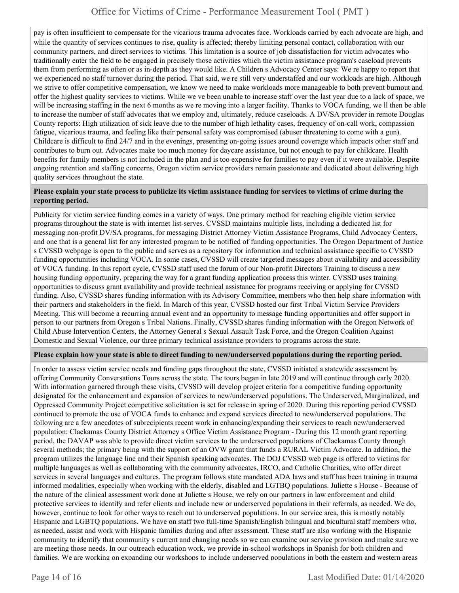pay is often insufficient to compensate for the vicarious trauma advocates face. Workloads carried by each advocate are high, and while the quantity of services continues to rise, quality is affected; thereby limiting personal contact, collaboration with our community partners, and direct services to victims. This limitation is a source of job dissatisfaction for victim advocates who traditionally enter the field to be engaged in precisely those activities which the victim assistance program's caseload prevents them from performing as often or as in-depth as they would like. A Children s Advocacy Center says: We re happy to report that we experienced no staff turnover during the period. That said, we re still very understaffed and our workloads are high. Although we strive to offer competitive compensation, we know we need to make workloads more manageable to both prevent burnout and offer the highest quality services to victims. While we ve been unable to increase staff over the last year due to a lack of space, we will be increasing staffing in the next 6 months as we re moving into a larger facility. Thanks to VOCA funding, we ll then be able to increase the number of staff advocates that we employ and, ultimately, reduce caseloads. A DV/SA provider in remote Douglas County reports: High utilization of sick leave due to the number of high lethality cases, frequency of on-call work, compassion fatigue, vicarious trauma, and feeling like their personal safety was compromised (abuser threatening to come with a gun). Childcare is difficult to find 24/7 and in the evenings, presenting on-going issues around coverage which impacts other staff and contributes to burn out. Advocates make too much money for daycare assistance, but not enough to pay for childcare. Health benefits for family members is not included in the plan and is too expensive for families to pay even if it were available. Despite ongoing retention and staffing concerns, Oregon victim service providers remain passionate and dedicated about delivering high quality services throughout the state.

#### **Please explain your state process to publicize its victim assistance funding for services to victims of crime during the reporting period.**

Publicity for victim service funding comes in a variety of ways. One primary method for reaching eligible victim service programs throughout the state is with internet list-serves. CVSSD maintains multiple lists, including a dedicated list for messaging non-profit DV/SA programs, for messaging District Attorney Victim Assistance Programs, Child Advocacy Centers, and one that is a general list for any interested program to be notified of funding opportunities. The Oregon Department of Justice s CVSSD webpage is open to the public and serves as a repository for information and technical assistance specific to CVSSD funding opportunities including VOCA. In some cases, CVSSD will create targeted messages about availability and accessibility of VOCA funding. In this report cycle, CVSSD staff used the forum of our Non-profit Directors Training to discuss a new housing funding opportunity, preparing the way for a grant funding application process this winter. CVSSD uses training opportunities to discuss grant availability and provide technical assistance for programs receiving or applying for CVSSD funding. Also, CVSSD shares funding information with its Advisory Committee, members who then help share information with their partners and stakeholders in the field. In March of this year, CVSSD hosted our first Tribal Victim Service Providers Meeting. This will become a recurring annual event and an opportunity to message funding opportunities and offer support in person to our partners from Oregon s Tribal Nations. Finally, CVSSD shares funding information with the Oregon Network of Child Abuse Intervention Centers, the Attorney General s Sexual Assault Task Force, and the Oregon Coalition Against Domestic and Sexual Violence, our three primary technical assistance providers to programs across the state.

#### **Please explain how your state is able to direct funding to new/underserved populations during the reporting period.**

In order to assess victim service needs and funding gaps throughout the state, CVSSD initiated a statewide assessment by offering Community Conversations Tours across the state. The tours began in late 2019 and will continue through early 2020. With information garnered through these visits, CVSSD will develop project criteria for a competitive funding opportunity designated for the enhancement and expansion of services to new/underserved populations. The Underserved, Marginalized, and Oppressed Community Project competitive solicitation is set for release in spring of 2020. During this reporting period CVSSD continued to promote the use of VOCA funds to enhance and expand services directed to new/underserved populations. The following are a few anecdotes of subrecipients recent work in enhancing/expanding their services to reach new/underserved population: Clackamas County District Attorney s Office Victim Assistance Program - During this 12 month grant reporting period, the DAVAP was able to provide direct victim services to the underserved populations of Clackamas County through several methods; the primary being with the support of an OVW grant that funds a RURAL Victim Advocate. In addition, the program utilizes the language line and their Spanish speaking advocates. The DOJ CVSSD web page is offered to victims for multiple languages as well as collaborating with the community advocates, IRCO, and Catholic Charities, who offer direct services in several languages and cultures. The program follows state mandated ADA laws and staff has been training in trauma informed modalities, especially when working with the elderly, disabled and LGTBQ populations. Juliette s House - Because of the nature of the clinical assessment work done at Juliette s House, we rely on our partners in law enforcement and child protective services to identify and refer clients and include new or underserved populations in their referrals, as needed. We do, however, continue to look for other ways to reach out to underserved populations. In our service area, this is mostly notably Hispanic and LGBTQ populations. We have on staff two full-time Spanish/English bilingual and bicultural staff members who, as needed, assist and work with Hispanic families during and after assessment. These staff are also working with the Hispanic community to identify that community s current and changing needs so we can examine our service provision and make sure we are meeting those needs. In our outreach education work, we provide in-school workshops in Spanish for both children and families. We are working on expanding our workshops to include underserved populations in both the eastern and western areas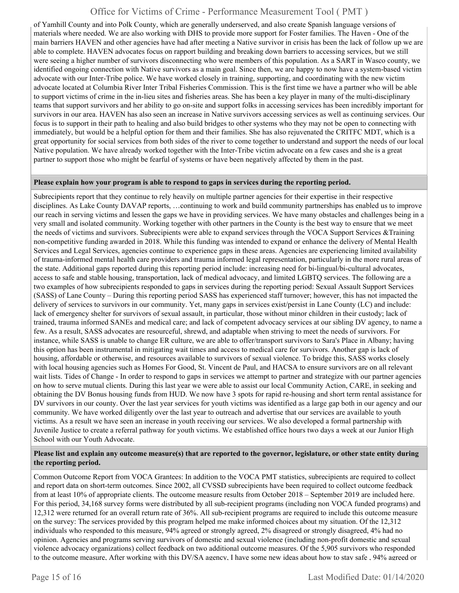of Yamhill County and into Polk County, which are generally underserved, and also create Spanish language versions of materials where needed. We are also working with DHS to provide more support for Foster families. The Haven - One of the main barriers HAVEN and other agencies have had after meeting a Native survivor in crisis has been the lack of follow up we are able to complete. HAVEN advocates focus on rapport building and breaking down barriers to accessing services, but we still were seeing a higher number of survivors disconnecting who were members of this population. As a SART in Wasco county, we identified ongoing connection with Native survivors as a main goal. Since then, we are happy to now have a system-based victim advocate with our Inter-Tribe police. We have worked closely in training, supporting, and coordinating with the new victim advocate located at Columbia River Inter Tribal Fisheries Commission. This is the first time we have a partner who will be able to support victims of crime in the in-lieu sites and fisheries areas. She has been a key player in many of the multi-disciplinary teams that support survivors and her ability to go on-site and support folks in accessing services has been incredibly important for survivors in our area. HAVEN has also seen an increase in Native survivors accessing services as well as continuing services. Our focus is to support in their path to healing and also build bridges to other systems who they may not be open to connecting with immediately, but would be a helpful option for them and their families. She has also rejuvenated the CRITFC MDT, which is a great opportunity for social services from both sides of the river to come together to understand and support the needs of our local Native population. We have already worked together with the Inter-Tribe victim advocate on a few cases and she is a great partner to support those who might be fearful of systems or have been negatively affected by them in the past.

#### **Please explain how your program is able to respond to gaps in services during the reporting period.**

Subrecipients report that they continue to rely heavily on multiple partner agencies for their expertise in their respective disciplines. As Lake County DAVAP reports, …continuing to work and build community partnerships has enabled us to improve our reach in serving victims and lessen the gaps we have in providing services. We have many obstacles and challenges being in a very small and isolated community. Working together with other partners in the County is the best way to ensure that we meet the needs of victims and survivors. Subrecipients were able to expand services through the VOCA Support Services &Training non-competitive funding awarded in 2018. While this funding was intended to expand or enhance the delivery of Mental Health Services and Legal Services, agencies continue to experience gaps in these areas. Agencies are experiencing limited availability of trauma-informed mental health care providers and trauma informed legal representation, particularly in the more rural areas of the state. Additional gaps reported during this reporting period include: increasing need for bi-lingual/bi-cultural advocates, access to safe and stable housing, transportation, lack of medical advocacy, and limited LGBTQ services. The following are a two examples of how subrecipients responded to gaps in services during the reporting period: Sexual Assault Support Services (SASS) of Lane County – During this reporting period SASS has experienced staff turnover; however, this has not impacted the delivery of services to survivors in our community. Yet, many gaps in services exist/persist in Lane County (LC) and include: lack of emergency shelter for survivors of sexual assault, in particular, those without minor children in their custody; lack of trained, trauma informed SANEs and medical care; and lack of competent advocacy services at our sibling DV agency, to name a few. As a result, SASS advocates are resourceful, shrewd, and adaptable when striving to meet the needs of survivors. For instance, while SASS is unable to change ER culture, we are able to offer/transport survivors to Sara's Place in Albany; having this option has been instrumental in mitigating wait times and access to medical care for survivors. Another gap is lack of housing, affordable or otherwise, and resources available to survivors of sexual violence. To bridge this, SASS works closely with local housing agencies such as Homes For Good, St. Vincent de Paul, and HACSA to ensure survivors are on all relevant wait lists. Tides of Change - In order to respond to gaps in services we attempt to partner and strategize with our partner agencies on how to serve mutual clients. During this last year we were able to assist our local Community Action, CARE, in seeking and obtaining the DV Bonus housing funds from HUD. We now have 3 spots for rapid re-housing and short term rental assistance for DV survivors in our county. Over the last year services for youth victims was identified as a large gap both in our agency and our community. We have worked diligently over the last year to outreach and advertise that our services are available to youth victims. As a result we have seen an increase in youth receiving our services. We also developed a formal partnership with Juvenile Justice to create a referral pathway for youth victims. We established office hours two days a week at our Junior High School with our Youth Advocate.

#### **Please list and explain any outcome measure(s) that are reported to the governor, legislature, or other state entity during the reporting period.**

Common Outcome Report from VOCA Grantees: In addition to the VOCA PMT statistics, subrecipients are required to collect and report data on short-term outcomes. Since 2002, all CVSSD subrecipients have been required to collect outcome feedback from at least 10% of appropriate clients. The outcome measure results from October 2018 – September 2019 are included here. For this period, 34,168 survey forms were distributed by all sub-recipient programs (including non VOCA funded programs) and 12,312 were returned for an overall return rate of 36%. All sub-recipient programs are required to include this outcome measure on the survey: The services provided by this program helped me make informed choices about my situation. Of the 12,312 individuals who responded to this measure, 94% agreed or strongly agreed, 2% disagreed or strongly disagreed, 4% had no opinion. Agencies and programs serving survivors of domestic and sexual violence (including non-profit domestic and sexual violence advocacy organizations) collect feedback on two additional outcome measures. Of the 5,905 survivors who responded to the outcome measure, After working with this DV/SA agency, I have some new ideas about how to stay safe , 94% agreed or